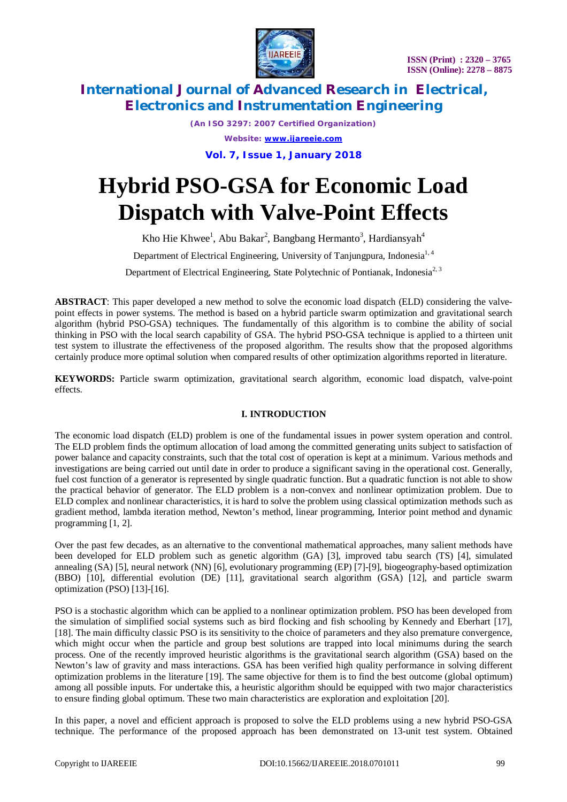

*(An ISO 3297: 2007 Certified Organization) Website: [www.ijareeie.com](http://www.ijareeie.com)*

**Vol. 7, Issue 1, January 2018**

# **Hybrid PSO-GSA for Economic Load Dispatch with Valve-Point Effects**

Kho Hie Khwee<sup>1</sup>, Abu Bakar<sup>2</sup>, Bangbang Hermanto<sup>3</sup>, Hardiansyah<sup>4</sup>

Department of Electrical Engineering, University of Tanjungpura, Indonesia<sup>1, 4</sup>

Department of Electrical Engineering, State Polytechnic of Pontianak, Indonesia<sup>2, 3</sup>

**ABSTRACT**: This paper developed a new method to solve the economic load dispatch (ELD) considering the valvepoint effects in power systems. The method is based on a hybrid particle swarm optimization and gravitational search algorithm (hybrid PSO-GSA) techniques. The fundamentally of this algorithm is to combine the ability of social thinking in PSO with the local search capability of GSA. The hybrid PSO-GSA technique is applied to a thirteen unit test system to illustrate the effectiveness of the proposed algorithm. The results show that the proposed algorithms certainly produce more optimal solution when compared results of other optimization algorithms reported in literature.

**KEYWORDS:** Particle swarm optimization, gravitational search algorithm, economic load dispatch, valve-point effects.

### **I. INTRODUCTION**

The economic load dispatch (ELD) problem is one of the fundamental issues in power system operation and control. The ELD problem finds the optimum allocation of load among the committed generating units subject to satisfaction of power balance and capacity constraints, such that the total cost of operation is kept at a minimum. Various methods and investigations are being carried out until date in order to produce a significant saving in the operational cost. Generally, fuel cost function of a generator is represented by single quadratic function. But a quadratic function is not able to show the practical behavior of generator. The ELD problem is a non-convex and nonlinear optimization problem. Due to ELD complex and nonlinear characteristics, it is hard to solve the problem using classical optimization methods such as gradient method, lambda iteration method, Newton's method, linear programming, Interior point method and dynamic programming [1, 2].

Over the past few decades, as an alternative to the conventional mathematical approaches, many salient methods have been developed for ELD problem such as genetic algorithm (GA) [3], improved tabu search (TS) [4], simulated annealing (SA) [5], neural network (NN) [6], evolutionary programming (EP) [7]-[9], biogeography-based optimization (BBO) [10], differential evolution (DE) [11], gravitational search algorithm (GSA) [12], and particle swarm optimization (PSO) [13]-[16].

PSO is a stochastic algorithm which can be applied to a nonlinear optimization problem. PSO has been developed from the simulation of simplified social systems such as bird flocking and fish schooling by Kennedy and Eberhart [17], [18]. The main difficulty classic PSO is its sensitivity to the choice of parameters and they also premature convergence, which might occur when the particle and group best solutions are trapped into local minimums during the search process. One of the recently improved heuristic algorithms is the gravitational search algorithm (GSA) based on the Newton's law of gravity and mass interactions. GSA has been verified high quality performance in solving different optimization problems in the literature [19]. The same objective for them is to find the best outcome (global optimum) among all possible inputs. For undertake this, a heuristic algorithm should be equipped with two major characteristics to ensure finding global optimum. These two main characteristics are exploration and exploitation [20].

In this paper, a novel and efficient approach is proposed to solve the ELD problems using a new hybrid PSO-GSA technique. The performance of the proposed approach has been demonstrated on 13-unit test system. Obtained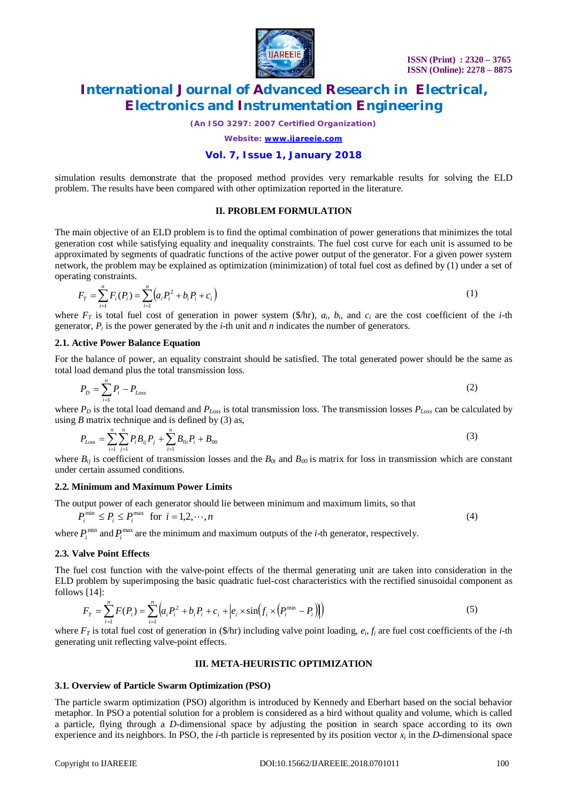

*(An ISO 3297: 2007 Certified Organization)*

*Website: [www.ijareeie.com](http://www.ijareeie.com)*

### **Vol. 7, Issue 1, January 2018**

simulation results demonstrate that the proposed method provides very remarkable results for solving the ELD problem. The results have been compared with other optimization reported in the literature.

### **II. PROBLEM FORMULATION**

The main objective of an ELD problem is to find the optimal combination of power generations that minimizes the total generation cost while satisfying equality and inequality constraints. The fuel cost curve for each unit is assumed to be approximated by segments of quadratic functions of the active power output of the generator. For a given power system network, the problem may be explained as optimization (minimization) of total fuel cost as defined by (1) under a set of operating constraints.

$$
F_T = \sum_{i=1}^n F_i(P_i) = \sum_{i=1}^n \left( a_i P_i^2 + b_i P_i + c_i \right) \tag{1}
$$

where  $F_T$  is total fuel cost of generation in power system (\$/hr),  $a_i$ ,  $b_i$ , and  $c_i$  are the cost coefficient of the *i*-th generator,  $P_i$  is the power generated by the *i*-th unit and *n* indicates the number of generators.

### **2.1. Active Power Balance Equation**

For the balance of power, an equality constraint should be satisfied. The total generated power should be the same as total load demand plus the total transmission loss.

$$
P_D = \sum_{i=1}^{n} P_i - P_{Loss} \tag{2}
$$

where *P<sup>D</sup>* is the total load demand and *PLoss* is total transmission loss. The transmission losses *PLoss* can be calculated by using  $B$  matrix technique and is defined by  $(3)$  as,

$$
P_{Loss} = \sum_{i=1}^{n} \sum_{j=1}^{n} P_i B_{ij} P_j + \sum_{i=1}^{n} B_{0i} P_i + B_{00}
$$
\n(3)

where  $B_{ij}$  is coefficient of transmission losses and the  $B_{0i}$  and  $B_{00}$  is matrix for loss in transmission which are constant under certain assumed conditions.

### **2.2. Minimum and Maximum Power Limits**

The output power of each generator should lie between minimum and maximum limits, so that

$$
P_i^{\min} \le P_i \le P_i^{\max} \quad \text{for} \quad i = 1, 2, \cdots, n \tag{4}
$$

where  $P_i^{\min}$  and  $P_i^{\max}$  are the minimum and maximum outputs of the *i*-th generator, respectively.

### **2.3. Valve Point Effects**

The fuel cost function with the valve-point effects of the thermal generating unit are taken into consideration in the ELD problem by superimposing the basic quadratic fuel-cost characteristics with the rectified sinusoidal component as follows [14]:

$$
F_T = \sum_{i=1}^{n} F(P_i) = \sum_{i=1}^{n} \left( a_i P_i^2 + b_i P_i + c_i + \left| e_i \times \sin\left(f_i \times \left(P_i^{\min} - P_i\right)\right) \right| \right) \tag{5}
$$

where *F<sup>T</sup>* is total fuel cost of generation in (\$/hr) including valve point loading, *e<sup>i</sup>* , *f<sup>i</sup>* are fuel cost coefficients of the *i-*th generating unit reflecting valve-point effects.

### **III. META-HEURISTIC OPTIMIZATION**

### **3.1. Overview of Particle Swarm Optimization (PSO)**

The particle swarm optimization (PSO) algorithm is introduced by Kennedy and Eberhart based on the social behavior metaphor. In PSO a potential solution for a problem is considered as a bird without quality and volume, which is called a particle, flying through a *D*-dimensional space by adjusting the position in search space according to its own experience and its neighbors. In PSO, the *i-*th particle is represented by its position vector *x<sup>i</sup>* in the *D*-dimensional space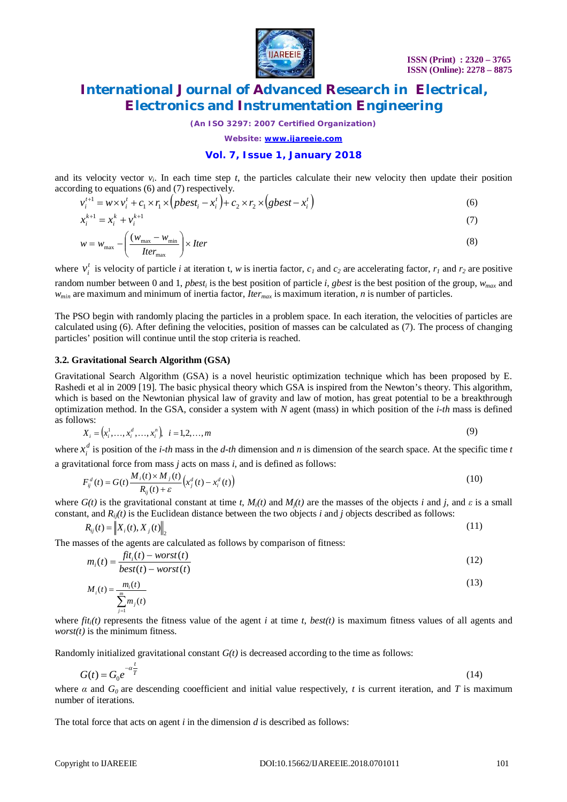

*(An ISO 3297: 2007 Certified Organization)*

*Website: [www.ijareeie.com](http://www.ijareeie.com)*

### **Vol. 7, Issue 1, January 2018**

and its velocity vector  $v_i$ . In each time step  $t$ , the particles calculate their new velocity then update their position according to equations (6) and (7) respectively.

$$
v_i^{t+1} = w \times v_i^t + c_1 \times r_1 \times (pbest_i - x_i^t) + c_2 \times r_2 \times (gbest - x_i^t)
$$
\n
$$
\tag{6}
$$

$$
x_i^{k+1} = x_i^k + v_i^{k+1} \tag{7}
$$

$$
w = w_{\text{max}} - \left(\frac{(w_{\text{max}} - w_{\text{min}})}{Iter}\right) \times Iter \tag{8}
$$

where  $v_i^t$  is velocity of particle *i* at iteration t, *w* is inertia factor,  $c_1$  and  $c_2$  are accelerating factor,  $r_1$  and  $r_2$  are positive random number between 0 and 1, *pbest<sup>i</sup>* is the best position of particle *i*, *gbest* is the best position of the group, *wmax* and *wmin* are maximum and minimum of inertia factor, *Itermax* is maximum iteration, *n* is number of particles.

The PSO begin with randomly placing the particles in a problem space. In each iteration, the velocities of particles are calculated using (6). After defining the velocities, position of masses can be calculated as (7). The process of changing particles' position will continue until the stop criteria is reached.

### **3.2. Gravitational Search Algorithm (GSA)**

Gravitational Search Algorithm (GSA) is a novel heuristic optimization technique which has been proposed by E. Rashedi et al in 2009 [19]. The basic physical theory which GSA is inspired from the Newton's theory. This algorithm, which is based on the Newtonian physical law of gravity and law of motion, has great potential to be a breakthrough optimization method. In the GSA, consider a system with *N* agent (mass) in which position of the *i-th* mass is defined as follows:

$$
X_i = (x_i^1, \dots, x_i^d, \dots, x_i^n), \quad i = 1, 2, \dots, m
$$
\n<sup>(9)</sup>

where  $x_i^d$  is position of the *i-th* mass in the *d-th* dimension and *n* is dimension of the search space. At the specific time *t* a gravitational force from mass *j* acts on mass *i*, and is defined as follows:

$$
F_{ij}^d(t) = G(t) \frac{M_i(t) \times M_j(t)}{R_{ij}(t) + \varepsilon} \left( x_j^d(t) - x_i^d(t) \right)
$$
\n
$$
(10)
$$

where  $G(t)$  is the gravitational constant at time *t*,  $M_i(t)$  and  $M_i(t)$  are the masses of the objects *i* and *j*, and *ε* is a small constant, and  $R_i(t)$  is the Euclidean distance between the two objects *i* and *j* objects described as follows:

$$
R_{ij}(t) = \left\| X_i(t), X_j(t) \right\|_2 \tag{11}
$$

The masses of the agents are calculated as follows by comparison of fitness:

$$
m_i(t) = \frac{fit_i(t) - worst(t)}{best(t) - worst(t)}
$$
\n(12)

$$
M_i(t) = \frac{m_i(t)}{m}
$$
 (13)

$$
(t) = \frac{m_i(t)}{\sum_{j=1}^m m_j(t)}
$$

where  $f_i(t)$  represents the fitness value of the agent *i* at time *t*, *best(t)* is maximum fitness values of all agents and *worst(t)* is the minimum fitness.

Randomly initialized gravitational constant *G(t)* is decreased according to the time as follows:

$$
G(t) = G_0 e^{-\alpha \frac{t}{T}}
$$
\n
$$
(14)
$$

where  $\alpha$  and  $G_0$  are descending cooefficient and initial value respectively, t is current iteration, and T is maximum number of iterations.

The total force that acts on agent *i* in the dimension *d* is described as follows: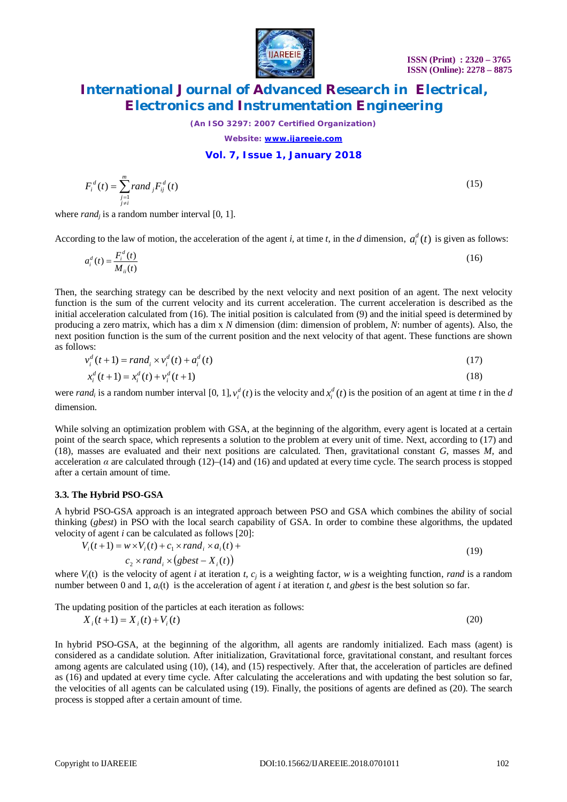**Electronics and Instrumentation Engineering** *(An ISO 3297: 2007 Certified Organization)*

*Website: [www.ijareeie.com](http://www.ijareeie.com)*

### **Vol. 7, Issue 1, January 2018**

 $f_i^d(t) = \sum_{\substack{j=1 \ j \neq i}} r$  *and j*  $\equiv$ where *rand<sup>j</sup>* is a random number interval [0, 1].

 $F_i^d(t) = \sum$  rand  $_i F_{ii}^d(t)$ 1  $F_i^d(t) = \sum$  *rand* <sub>*i*</sub>  $F_{ij}^d(t)$ *m*

According to the law of motion, the acceleration of the agent *i*, at time *t*, in the *d* dimension,  $a_i^d(t)$  is given as follows:

$$
a_i^d(t) = \frac{F_i^d(t)}{M_{ii}(t)}
$$
(16)

Then, the searching strategy can be described by the next velocity and next position of an agent. The next velocity function is the sum of the current velocity and its current acceleration. The current acceleration is described as the initial acceleration calculated from (16). The initial position is calculated from (9) and the initial speed is determined by producing a zero matrix, which has a dim x *N* dimension (dim: dimension of problem, *N*: number of agents). Also, the next position function is the sum of the current position and the next velocity of that agent. These functions are shown as follows:

$$
v_i^d(t+1) = rand_i \times v_i^d(t) + a_i^d(t)
$$
\n(17)

$$
x_i^d(t+1) = x_i^d(t) + v_i^d(t+1)
$$
\n(18)

were *rand<sub>i</sub>* is a random number interval [0, 1],  $v_i^d(t)$  is the velocity and  $x_i^d(t)$  is the position of an agent at time *t* in the *d* dimension.

While solving an optimization problem with GSA, at the beginning of the algorithm, every agent is located at a certain point of the search space, which represents a solution to the problem at every unit of time. Next, according to (17) and (18), masses are evaluated and their next positions are calculated. Then, gravitational constant *G*, masses *M*, and acceleration  $\alpha$  are calculated through (12)–(14) and (16) and updated at every time cycle. The search process is stopped after a certain amount of time.

### **3.3. The Hybrid PSO-GSA**

A hybrid PSO-GSA approach is an integrated approach between PSO and GSA which combines the ability of social thinking (*gbest*) in PSO with the local search capability of GSA. In order to combine these algorithms, the updated velocity of agent *i* can be calculated as follows [20]:

$$
V_i(t+1) = w \times V_i(t) + c_1 \times rand_i \times a_i(t) + c_2 \times rand_i \times (gbest - X_i(t))
$$
\n
$$
(19)
$$

where  $V_i(t)$  is the velocity of agent *i* at iteration *t*,  $c_j$  is a weighting factor, *w* is a weighting function, *rand* is a random number between 0 and 1, *ai*(t) is the acceleration of agent *i* at iteration *t*, and *gbest* is the best solution so far.

The updating position of the particles at each iteration as follows:

$$
X_i(t+1) = X_i(t) + V_i(t)
$$
\n(20)

In hybrid PSO-GSA, at the beginning of the algorithm, all agents are randomly initialized. Each mass (agent) is considered as a candidate solution. After initialization, Gravitational force, gravitational constant, and resultant forces among agents are calculated using (10), (14), and (15) respectively. After that, the acceleration of particles are defined as (16) and updated at every time cycle. After calculating the accelerations and with updating the best solution so far, the velocities of all agents can be calculated using (19). Finally, the positions of agents are defined as (20). The search process is stopped after a certain amount of time.

**International Journal of Advanced Research in Electrical,** 

 $=\sum rand_i F_{ii}^d(t)$  (15)

 **ISSN (Print) : 2320 – 3765 ISSN (Online): 2278 – 8875**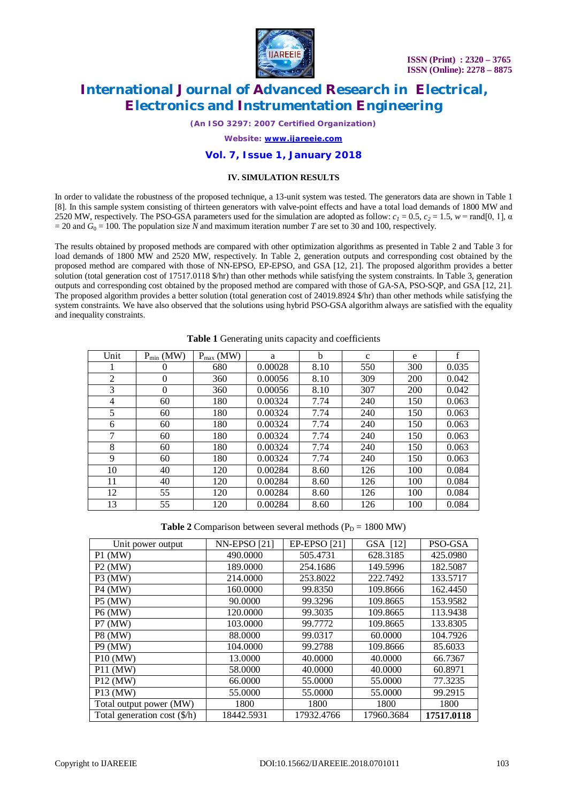

*(An ISO 3297: 2007 Certified Organization)*

*Website: [www.ijareeie.com](http://www.ijareeie.com)*

### **Vol. 7, Issue 1, January 2018**

### **IV. SIMULATION RESULTS**

In order to validate the robustness of the proposed technique, a 13-unit system was tested. The generators data are shown in Table 1 [8]. In this sample system consisting of thirteen generators with valve-point effects and have a total load demands of 1800 MW and 2520 MW, respectively. The PSO-GSA parameters used for the simulation are adopted as follow:  $c_1 = 0.5$ ,  $c_2 = 1.5$ ,  $w = \text{rand}[0, 1]$ ,  $\alpha$  $= 20$  and  $G<sub>0</sub> = 100$ . The population size *N* and maximum iteration number *T* are set to 30 and 100, respectively.

The results obtained by proposed methods are compared with other optimization algorithms as presented in Table 2 and Table 3 for load demands of 1800 MW and 2520 MW, respectively. In Table 2, generation outputs and corresponding cost obtained by the proposed method are compared with those of NN-EPSO, EP-EPSO, and GSA [12, 21]. The proposed algorithm provides a better solution (total generation cost of 17517.0118 \$/hr) than other methods while satisfying the system constraints. In Table 3, generation outputs and corresponding cost obtained by the proposed method are compared with those of GA-SA, PSO-SQP, and GSA [12, 21]. The proposed algorithm provides a better solution (total generation cost of 24019.8924 \$/hr) than other methods while satisfying the system constraints. We have also observed that the solutions using hybrid PSO-GSA algorithm always are satisfied with the equality and inequality constraints.

| Unit | $P_{min}$ (MW) | $P_{max}$ (MW) | a       | b    | $\mathbf{C}$ | e          | f     |
|------|----------------|----------------|---------|------|--------------|------------|-------|
|      | $\Omega$       | 680            | 0.00028 | 8.10 | 550          | 300        | 0.035 |
| 2    | $\overline{0}$ | 360            | 0.00056 | 8.10 | 309          | 200        | 0.042 |
| 3    | $\theta$       | 360            | 0.00056 | 8.10 | 307          | <b>200</b> | 0.042 |
| 4    | 60             | 180            | 0.00324 | 7.74 | 240          | 150        | 0.063 |
| 5    | 60             | 180            | 0.00324 | 7.74 | 240          | 150        | 0.063 |
| 6    | 60             | 180            | 0.00324 | 7.74 | 240          | 150        | 0.063 |
| 7    | 60             | 180            | 0.00324 | 7.74 | 240          | 150        | 0.063 |
| 8    | 60             | 180            | 0.00324 | 7.74 | 240          | 150        | 0.063 |
| 9    | 60             | 180            | 0.00324 | 7.74 | 240          | 150        | 0.063 |
| 10   | 40             | 120            | 0.00284 | 8.60 | 126          | 100        | 0.084 |
| 11   | 40             | 120            | 0.00284 | 8.60 | 126          | 100        | 0.084 |
| 12   | 55             | 120            | 0.00284 | 8.60 | 126          | 100        | 0.084 |
| 13   | 55             | 120            | 0.00284 | 8.60 | 126          | 100        | 0.084 |

### **Table 1** Generating units capacity and coefficients

**Table 2** Comparison between several methods ( $P_D = 1800$  MW)

| Unit power output            | <b>NN-EPSO [21]</b> | <b>EP-EPSO</b> [21] | GSA [12]   | PSO-GSA    |
|------------------------------|---------------------|---------------------|------------|------------|
| $P1$ (MW)                    | 490.0000            | 505.4731            | 628.3185   | 425.0980   |
| $P2$ (MW)                    | 189,0000            | 254.1686            | 149.5996   | 182.5087   |
| $P3$ (MW)                    | 214.0000            | 253.8022            | 222.7492   | 133.5717   |
| <b>P4 (MW)</b>               | 160,0000            | 99.8350             | 109.8666   | 162.4450   |
| <b>P5 (MW)</b>               | 90.0000             | 99.3296             | 109.8665   | 153.9582   |
| <b>P6 (MW)</b>               | 120.0000            | 99.3035             | 109.8665   | 113.9438   |
| P7 (MW)                      | 103.0000            | 99.7772             | 109.8665   | 133.8305   |
| <b>P8 (MW)</b>               | 88.0000             | 99.0317             | 60.0000    | 104.7926   |
| <b>P9 (MW)</b>               | 104.0000            | 99.2788             | 109.8666   | 85.6033    |
| $P10$ (MW)                   | 13.0000             | 40.0000             | 40.0000    | 66.7367    |
| <b>P11 (MW)</b>              | 58.0000             | 40.0000             | 40.0000    | 60.8971    |
| $P12$ (MW)                   | 66.0000             | 55.0000             | 55.0000    | 77.3235    |
| $P13$ (MW)                   | 55.0000             | 55,0000             | 55,0000    | 99.2915    |
| Total output power (MW)      | 1800                | 1800                | 1800       | 1800       |
| Total generation cost (\$/h) | 18442.5931          | 17932.4766          | 17960.3684 | 17517.0118 |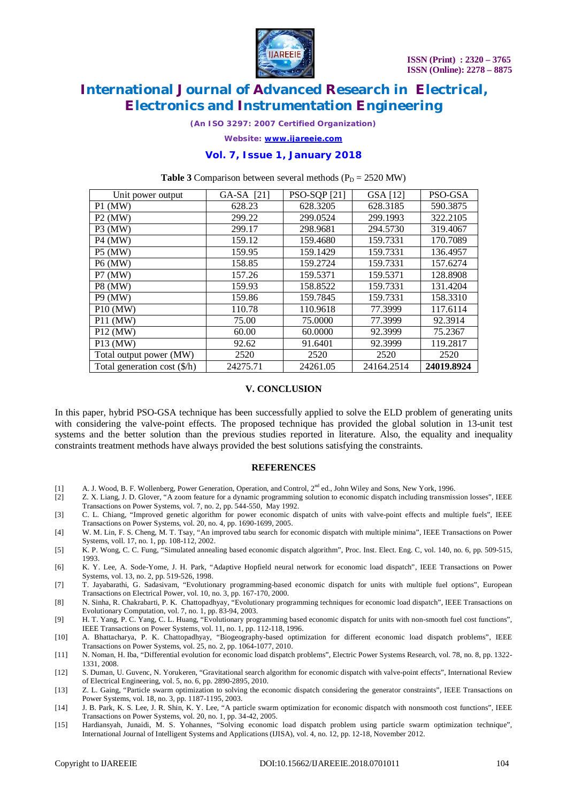

*(An ISO 3297: 2007 Certified Organization)*

*Website: [www.ijareeie.com](http://www.ijareeie.com)*

### **Vol. 7, Issue 1, January 2018**

**Table 3** Comparison between several methods  $(P_D = 2520 \text{ MW})$ 

| Unit power output            | GA-SA [21] | <b>PSO-SQP</b> [21] | GSA [12]   | PSO-GSA    |
|------------------------------|------------|---------------------|------------|------------|
| $P1$ (MW)                    | 628.23     | 628.3205            | 628.3185   | 590.3875   |
| $P2$ (MW)                    | 299.22     | 299.0524            | 299.1993   | 322.2105   |
| $P3$ (MW)                    | 299.17     | 298.9681            | 294.5730   | 319.4067   |
| <b>P4 (MW)</b>               | 159.12     | 159.4680            | 159.7331   | 170.7089   |
| <b>P5 (MW)</b>               | 159.95     | 159.1429            | 159.7331   | 136.4957   |
| <b>P6 (MW)</b>               | 158.85     | 159.2724            | 159.7331   | 157.6274   |
| P7 (MW)                      | 157.26     | 159.5371            | 159.5371   | 128.8908   |
| <b>P8 (MW)</b>               | 159.93     | 158.8522            | 159.7331   | 131.4204   |
| <b>P9 (MW)</b>               | 159.86     | 159.7845            | 159.7331   | 158.3310   |
| $P10$ (MW)                   | 110.78     | 110.9618            | 77.3999    | 117.6114   |
| $P11$ (MW)                   | 75.00      | 75.0000             | 77.3999    | 92.3914    |
| P12 (MW)                     | 60.00      | 60.0000             | 92.3999    | 75.2367    |
| P13 (MW)                     | 92.62      | 91.6401             | 92.3999    | 119.2817   |
| Total output power (MW)      | 2520       | 2520                | 2520       | 2520       |
| Total generation cost (\$/h) | 24275.71   | 24261.05            | 24164.2514 | 24019.8924 |

### **V. CONCLUSION**

In this paper, hybrid PSO-GSA technique has been successfully applied to solve the ELD problem of generating units with considering the valve-point effects. The proposed technique has provided the global solution in 13-unit test systems and the better solution than the previous studies reported in literature. Also, the equality and inequality constraints treatment methods have always provided the best solutions satisfying the constraints.

### **REFERENCES**

- [1] A. J. Wood, B. F. Wollenberg, Power Generation, Operation, and Control,  $2<sup>nd</sup>$  ed., John Wiley and Sons, New York, 1996.
- [2] Z. X. Liang, J. D. Glover, "A zoom feature for a dynamic programming solution to economic dispatch including transmission losses", IEEE Transactions on Power Systems, vol. 7, no. 2, pp. 544-550, May 1992.
- [3] C. L. Chiang, "Improved genetic algorithm for power economic dispatch of units with valve-point effects and multiple fuels", IEEE Transactions on Power Systems, vol. 20, no. 4, pp. 1690-1699, 2005.
- [4] W. M. Lin, F. S. Cheng, M. T. Tsay, "An improved tabu search for economic dispatch with multiple minima", IEEE Transactions on Power Systems, voll. 17, no. 1, pp. 108-112, 2002.
- [5] K. P. Wong, C. C. Fung, "Simulated annealing based economic dispatch algorithm", Proc. Inst. Elect. Eng. C, vol. 140, no. 6, pp. 509-515, 1993.
- [6] K. Y. Lee, A. Sode-Yome, J. H. Park, "Adaptive Hopfield neural network for economic load dispatch", IEEE Transactions on Power Systems, vol. 13, no. 2, pp. 519-526, 1998.
- [7] T. Jayabarathi, G. Sadasivam, "Evolutionary programming-based economic dispatch for units with multiple fuel options", European Transactions on Electrical Power, vol. 10, no. 3, pp. 167-170, 2000.
- [8] N. Sinha, R. Chakrabarti, P. K. Chattopadhyay, "Evolutionary programming techniques for economic load dispatch", IEEE Transactions on Evolutionary Computation, vol. 7, no. 1, pp. 83-94, 2003.
- [9] H. T. Yang, P. C. Yang, C. L. Huang, "Evolutionary programming based economic dispatch for units with non-smooth fuel cost functions", IEEE Transactions on Power Systems, vol. 11, no. 1, pp. 112-118, 1996.
- [10] A. Bhattacharya, P. K. Chattopadhyay, "Biogeography-based optimization for different economic load dispatch problems", IEEE Transactions on Power Systems, vol. 25, no. 2, pp. 1064-1077, 2010.
- [11] N. Noman, H. Iba, "Differential evolution for economic load dispatch problems", Electric Power Systems Research, vol. 78, no. 8, pp. 1322- 1331, 2008.
- [12] S. Duman, U. Guvenc, N. Yorukeren, "Gravitational search algorithm for economic dispatch with valve-point effects", International Review of Electrical Engineering, vol. 5, no. 6, pp. 2890-2895, 2010.
- [13] Z. L. Gaing, "Particle swarm optimization to solving the economic dispatch considering the generator constraints", IEEE Transactions on Power Systems, vol. 18, no. 3, pp. 1187-1195, 2003.
- [14] J. B. Park, K. S. Lee, J. R. Shin, K. Y. Lee, "A particle swarm optimization for economic dispatch with nonsmooth cost functions", IEEE Transactions on Power Systems, vol. 20, no. 1, pp. 34-42, 2005.
- [15] Hardiansyah, Junaidi, M. S. Yohannes, "Solving economic load dispatch problem using particle swarm optimization technique", International Journal of Intelligent Systems and Applications (IJISA), vol. 4, no. 12, pp. 12-18, November 2012.